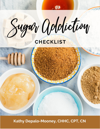rus II Moliclio  $V$ i v $V$ 

# **CHECKLIST**



Kathy DePalo-Mooney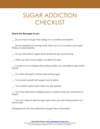# SUGAR ADDICTION **CHECKLIST**

#### **Check any that apply to you:**

\_\_\_ Do you have a tough time saying 'no' to sweets and desserts

\_\_\_ Do you experience cravings even when you try to cut down your sugar intake or carbohydrates

\_\_\_ Do you think about sugary foods during the day and evening.

\_\_\_ When you start to eat sweets, it is difficult to stop.

\_\_\_ You get a rush of energy after eating sweets, but crash/feel hungry pretty quickly.

\_\_\_ You often feel guilt or shame after eating sugar.

\_\_\_ You reward yourself with sugary food or drinks.

You overeat sugary foods when you are stressed.

\_\_\_ You have memories of feeling loved or cared for that are connected to sweets.

You can't seem to get enough sugar when you start eating sweets, but crave more.

(Adapted from Are You Addicted to Sugar? Quiz, Prevention)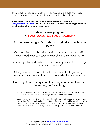If you checked three or more of these, you may have a problem with sugar. Your responses are more important than the number of check marks.

**Make sure to share your responses with me send me a message [Kathy@kdmooney.com.](mailto:Kathy@kdmooney.com) We will set up a free 20 minute session to go over your results and see how we can solve them.**

#### **Meet my new program: "10 DAY SUGAR DETOX PROGRAM"**

#### **Are you struggling with making the right decision for your body?**

We know that sugar is bad – but did you know that it can affect your mood, your self-esteem, your skin and so much more?

Yes, you probably already knew this. So why is it so hard to let go of our sugar cravings?

What you need is a powerful solution that will help you cut your sugar cravings loose and say good-bye to debilitating decisions.

#### **Time to get more energy and lose the pounds that have been haunting you for so long!**

Through my program I will teach you the natural ways to get energy and have enough of it throughout the day to do the things you love without feeling burnt out.

It's time to believe in yourself. You NOW have the tools that will give you the power to make amazing decisions for your body and your soul. I created a program that addressed all the possible obstacles you may have: From amazing support to delicious recipes that you can cook with ease – finally, a program that is not heavy on fluff and gives you ALL of the tools you need.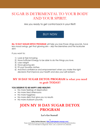## SUGAR IS DETRIMENTAL TO YOUR BODY AND YOUR SPIRIT.

Are you ready to get control back in your life?!

## **BUY NOW**

**My 10 DAY SUGAR DETOX PROGRAM** will help you lose those clingy pounds, have less mood swings, get that glowing skin – skip the blemishes and the lackluster skin!

If you want to:

- 1) Look & Feel Amazing
- 2) Have Sufficient Energy to be able to do the things you love.
- 3) Lose weight
- 4) Have glowing skin
- 5) Fit your favorite clothes
- 6) And find confidence and empowerment when you make the right decisions that improve your health and also your self-esteem.

### **MY 10 DAY SUGAR DETOX PROGRAM is what you need to grab TODAY!**

#### **YOU DESERVE TO BE HAPPY AND HEALTHY:**

- No more feelings of deprivation
- No more tired afternoons
- No more fogginess
- No more diets that give you no results
- No more stubborn pounds.

# **JOIN MY 10 DAY SUGAR DETOX PROGRAM**

#### **Let's Get Started!**

**3**

**Kathy DePalo-Mooney [I http://kathydepalo-mooney.com/](http://kathydepalo-mooney.com/)** These statements have not been evaluated by the Food and Drug Administration. This is not intended to diagnose, treat, cure, or prevent any diseases.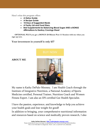Here's what this program offers:

- **A Detox Guide**
- **A Recipe Guide**
- **10 Days of Suggested Meals**
- **A Pantry List and Food Diary**
- **Best Supplements for Balancing Blood Sugar AND a BONUS Affirmations to Destroy Cravings Sheet**

**OPTIONAL PLUS you get a BONUS 20-Minute Post 1-1 Session with me when you sign up now.**

**Your investment in yourself is only \$37**

**ABOUT ME**



My name is Kathy DePalo-Mooney. I am Health Coach through the Institute of Integrative Nutrition, a National Academy of Sports Medicine certified, Personal Trainer, Nutrition Coach and Women Fitness Expert. I am also an IIN certified Gut Health Specialist.

I have the passion, experience, and knowledge to help you achieve your health goals and lose weight for good! In addition to bringing, your comprehensive nutritional information and resources based on science and medically proven research, I also